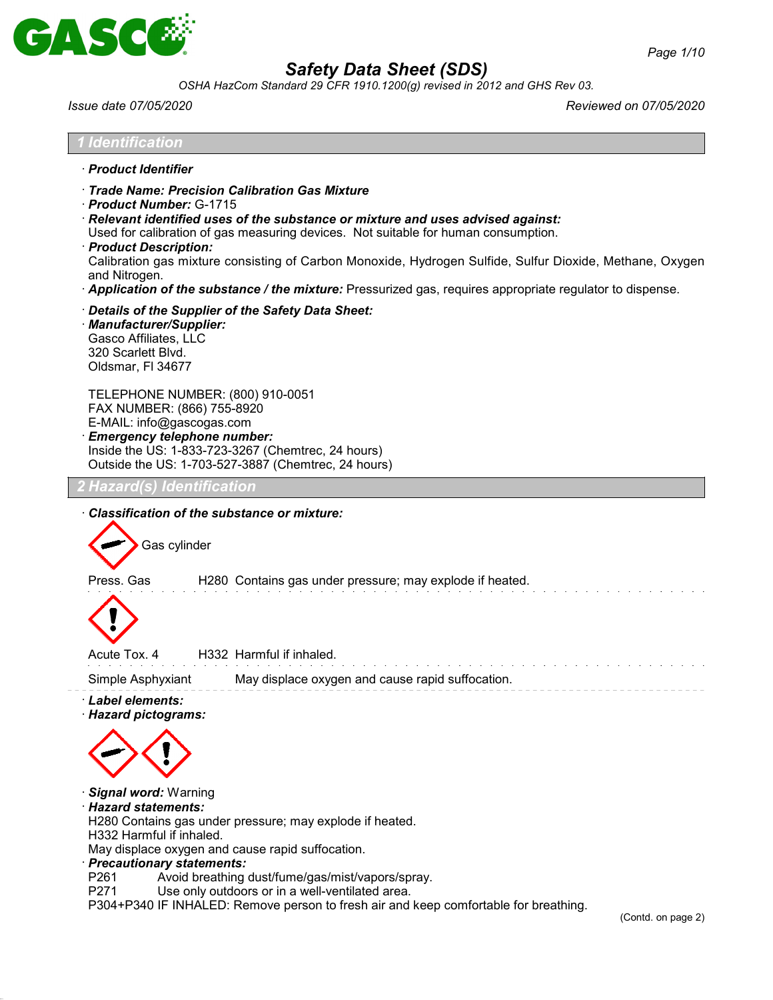

*OSHA HazCom Standard 29 CFR 1910.1200(g) revised in 2012 and GHS Rev 03.*

*Issue date 07/05/2020 Reviewed on 07/05/2020*

| · Product Identifier<br>· Trade Name: Precision Calibration Gas Mixture<br>Product Number: G-1715<br>$\cdot$ Relevant identified uses of the substance or mixture and uses advised against:<br>Used for calibration of gas measuring devices. Not suitable for human consumption.<br>· Product Description:<br>Calibration gas mixture consisting of Carbon Monoxide, Hydrogen Sulfide, Sulfur Dioxide, Methane, Oxygen<br>and Nitrogen.<br>· Application of the substance / the mixture: Pressurized gas, requires appropriate regulator to dispense.<br>Details of the Supplier of the Safety Data Sheet:<br>· Manufacturer/Supplier:<br>Gasco Affiliates, LLC<br>320 Scarlett Blvd.<br>Oldsmar, FI 34677<br>TELEPHONE NUMBER: (800) 910-0051<br>FAX NUMBER: (866) 755-8920<br>E-MAIL: info@gascogas.com<br><b>Emergency telephone number:</b><br>Inside the US: 1-833-723-3267 (Chemtrec, 24 hours)<br>Outside the US: 1-703-527-3887 (Chemtrec, 24 hours)<br>Hazard(s) Identification<br>Classification of the substance or mixture:<br>Gas cylinder<br>Press. Gas<br>H280 Contains gas under pressure; may explode if heated.<br>Acute Tox. 4<br>H332 Harmful if inhaled.<br>Simple Asphyxiant<br>May displace oxygen and cause rapid suffocation.<br>· Label elements:<br>· Hazard pictograms: | <b>1 Identification</b> |  |
|------------------------------------------------------------------------------------------------------------------------------------------------------------------------------------------------------------------------------------------------------------------------------------------------------------------------------------------------------------------------------------------------------------------------------------------------------------------------------------------------------------------------------------------------------------------------------------------------------------------------------------------------------------------------------------------------------------------------------------------------------------------------------------------------------------------------------------------------------------------------------------------------------------------------------------------------------------------------------------------------------------------------------------------------------------------------------------------------------------------------------------------------------------------------------------------------------------------------------------------------------------------------------------------------------|-------------------------|--|
|                                                                                                                                                                                                                                                                                                                                                                                                                                                                                                                                                                                                                                                                                                                                                                                                                                                                                                                                                                                                                                                                                                                                                                                                                                                                                                      |                         |  |
|                                                                                                                                                                                                                                                                                                                                                                                                                                                                                                                                                                                                                                                                                                                                                                                                                                                                                                                                                                                                                                                                                                                                                                                                                                                                                                      |                         |  |
|                                                                                                                                                                                                                                                                                                                                                                                                                                                                                                                                                                                                                                                                                                                                                                                                                                                                                                                                                                                                                                                                                                                                                                                                                                                                                                      |                         |  |
|                                                                                                                                                                                                                                                                                                                                                                                                                                                                                                                                                                                                                                                                                                                                                                                                                                                                                                                                                                                                                                                                                                                                                                                                                                                                                                      |                         |  |
|                                                                                                                                                                                                                                                                                                                                                                                                                                                                                                                                                                                                                                                                                                                                                                                                                                                                                                                                                                                                                                                                                                                                                                                                                                                                                                      |                         |  |
|                                                                                                                                                                                                                                                                                                                                                                                                                                                                                                                                                                                                                                                                                                                                                                                                                                                                                                                                                                                                                                                                                                                                                                                                                                                                                                      |                         |  |
|                                                                                                                                                                                                                                                                                                                                                                                                                                                                                                                                                                                                                                                                                                                                                                                                                                                                                                                                                                                                                                                                                                                                                                                                                                                                                                      |                         |  |
|                                                                                                                                                                                                                                                                                                                                                                                                                                                                                                                                                                                                                                                                                                                                                                                                                                                                                                                                                                                                                                                                                                                                                                                                                                                                                                      |                         |  |
|                                                                                                                                                                                                                                                                                                                                                                                                                                                                                                                                                                                                                                                                                                                                                                                                                                                                                                                                                                                                                                                                                                                                                                                                                                                                                                      |                         |  |
|                                                                                                                                                                                                                                                                                                                                                                                                                                                                                                                                                                                                                                                                                                                                                                                                                                                                                                                                                                                                                                                                                                                                                                                                                                                                                                      |                         |  |
| Signal word: Warning<br>· Hazard statements:<br>H280 Contains gas under pressure; may explode if heated.<br>H332 Harmful if inhaled.<br>May displace oxygen and cause rapid suffocation.<br>· Precautionary statements:                                                                                                                                                                                                                                                                                                                                                                                                                                                                                                                                                                                                                                                                                                                                                                                                                                                                                                                                                                                                                                                                              |                         |  |

- P261 Avoid breathing dust/fume/gas/mist/vapors/spray.<br>P271 Use only outdoors or in a well-ventilated area.
- Use only outdoors or in a well-ventilated area.

P304+P340 IF INHALED: Remove person to fresh air and keep comfortable for breathing.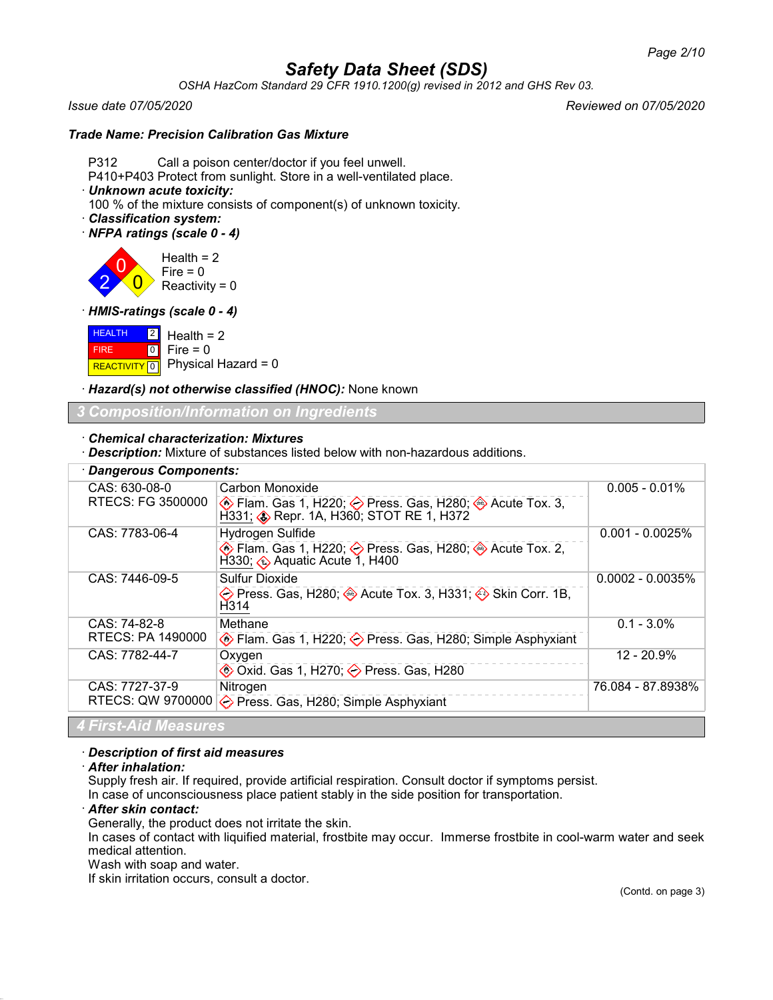*OSHA HazCom Standard 29 CFR 1910.1200(g) revised in 2012 and GHS Rev 03.*

## *Trade Name: Precision Calibration Gas Mixture*

P312 Call a poison center/doctor if you feel unwell.

P410+P403 Protect from sunlight. Store in a well-ventilated place.

· *Unknown acute toxicity:*

100 % of the mixture consists of component(s) of unknown toxicity.

- · *Classification system:*
- · *NFPA ratings (scale 0 4)*

2 0  $\overline{0}$ Health  $= 2$ Fire  $= 0$ Reactivity =  $0$ 

· *HMIS-ratings (scale 0 - 4)*

**HEALTH**  FIRE  $R$ **REACTIVITY**  $\boxed{0}$  Physical Hazard = 0  $\boxed{2}$  $\boxed{0}$ Health  $= 2$  $Fire = 0$ 

· *Hazard(s) not otherwise classified (HNOC):* None known

# *3 Composition/Information on Ingredients*

## · *Chemical characterization: Mixtures*

· *Description:* Mixture of substances listed below with non-hazardous additions.

| · Dangerous Components: |                                                                                         |                     |
|-------------------------|-----------------------------------------------------------------------------------------|---------------------|
| CAS: 630-08-0           | Carbon Monoxide                                                                         | $0.005 - 0.01\%$    |
| RTECS: FG 3500000       |                                                                                         |                     |
| CAS: 7783-06-4          | Hydrogen Sulfide                                                                        | $0.001 - 0.0025%$   |
|                         | ♦ Flam. Gas 1, H220; ♦ Press. Gas, H280; ♦ Acute Tox. 2,<br>H330; Aquatic Acute 1, H400 |                     |
| CAS: 7446-09-5          | <b>Sulfur Dioxide</b>                                                                   | $0.0002 - 0.0035\%$ |
|                         | ◇ Press. Gas, H280; → Acute Tox. 3, H331; → Skin Corr. 1B,<br>H314                      |                     |
| CAS: 74-82-8            | Methane                                                                                 | $0.1 - 3.0\%$       |
| RTECS: PA 1490000       | Elam. Gas 1, H220;  b Press. Gas, H280; Simple Asphyxiant                               |                     |
| CAS: 7782-44-7          | Oxygen                                                                                  | $12 - 20.9%$        |
|                         | $\circledast$ Oxid. Gas 1, H270; $\diamondsuit$ Press. Gas, H280                        |                     |
| CAS: 7727-37-9          | Nitrogen                                                                                | 76.084 - 87.8938%   |
| RTECS: QW 9700000       | ◆ Press. Gas, H280; Simple Asphyxiant                                                   |                     |
| 4 First-Aid Measures    |                                                                                         |                     |

## · *Description of first aid measures*

· *After inhalation:*

Supply fresh air. If required, provide artificial respiration. Consult doctor if symptoms persist.

In case of unconsciousness place patient stably in the side position for transportation.

## · *After skin contact:*

Generally, the product does not irritate the skin.

In cases of contact with liquified material, frostbite may occur. Immerse frostbite in cool-warm water and seek medical attention.

Wash with soap and water.

If skin irritation occurs, consult a doctor.

### *Issue date 07/05/2020 Reviewed on 07/05/2020*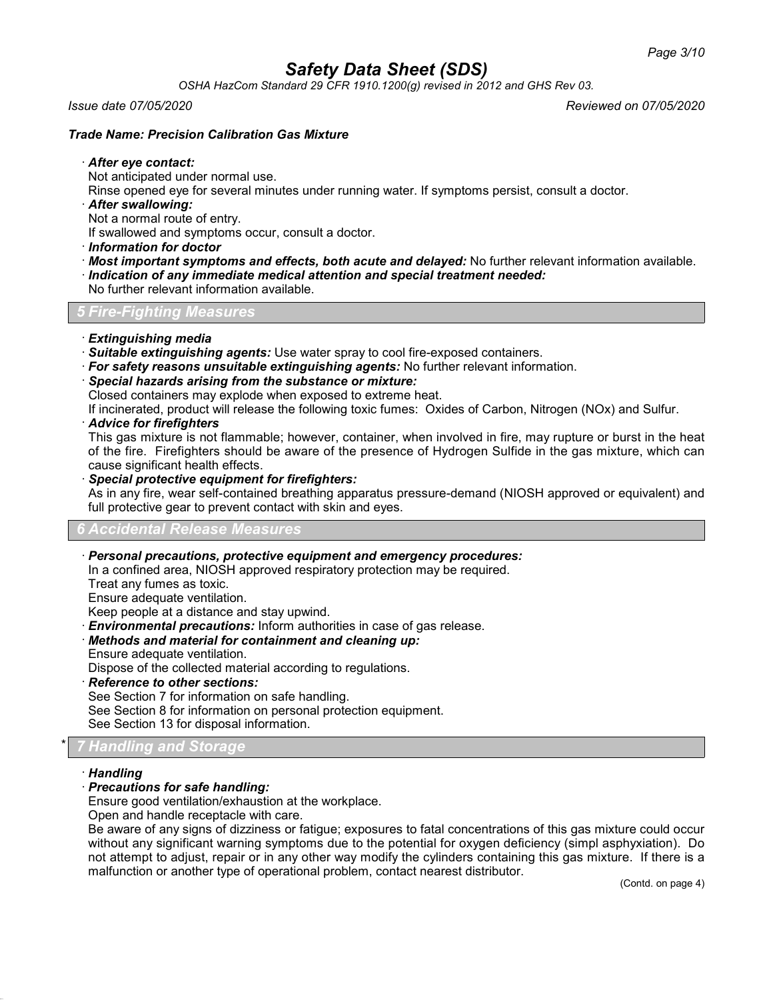*OSHA HazCom Standard 29 CFR 1910.1200(g) revised in 2012 and GHS Rev 03.*

*Issue date 07/05/2020 Reviewed on 07/05/2020*

## *Trade Name: Precision Calibration Gas Mixture*

### · *After eye contact:*

Not anticipated under normal use.

Rinse opened eye for several minutes under running water. If symptoms persist, consult a doctor.

· *After swallowing:*

Not a normal route of entry.

If swallowed and symptoms occur, consult a doctor.

- · *Information for doctor*
- · *Most important symptoms and effects, both acute and delayed:* No further relevant information available.
- · *Indication of any immediate medical attention and special treatment needed:*

No further relevant information available.

*5 Fire-Fighting Measures*

- · *Extinguishing media*
- · *Suitable extinguishing agents:* Use water spray to cool fire-exposed containers.
- · *For safety reasons unsuitable extinguishing agents:* No further relevant information.
- · *Special hazards arising from the substance or mixture:*
- Closed containers may explode when exposed to extreme heat.

If incinerated, product will release the following toxic fumes: Oxides of Carbon, Nitrogen (NOx) and Sulfur.

### · *Advice for firefighters*

This gas mixture is not flammable; however, container, when involved in fire, may rupture or burst in the heat of the fire. Firefighters should be aware of the presence of Hydrogen Sulfide in the gas mixture, which can cause significant health effects.

### · *Special protective equipment for firefighters:*

As in any fire, wear self-contained breathing apparatus pressure-demand (NIOSH approved or equivalent) and full protective gear to prevent contact with skin and eyes.

#### *6 Accidental Release Measures*

## · *Personal precautions, protective equipment and emergency procedures:*

In a confined area, NIOSH approved respiratory protection may be required.

Treat any fumes as toxic.

Ensure adequate ventilation.

Keep people at a distance and stay upwind.

- **Environmental precautions:** Inform authorities in case of gas release.
- · *Methods and material for containment and cleaning up:*
- Ensure adequate ventilation.
- Dispose of the collected material according to regulations.
- · *Reference to other sections:*

See Section 7 for information on safe handling.

See Section 8 for information on personal protection equipment.

See Section 13 for disposal information.

# \* *7 Handling and Storage*

## · *Handling*

## · *Precautions for safe handling:*

Ensure good ventilation/exhaustion at the workplace.

Open and handle receptacle with care.

Be aware of any signs of dizziness or fatigue; exposures to fatal concentrations of this gas mixture could occur without any significant warning symptoms due to the potential for oxygen deficiency (simpl asphyxiation). Do not attempt to adjust, repair or in any other way modify the cylinders containing this gas mixture. If there is a malfunction or another type of operational problem, contact nearest distributor.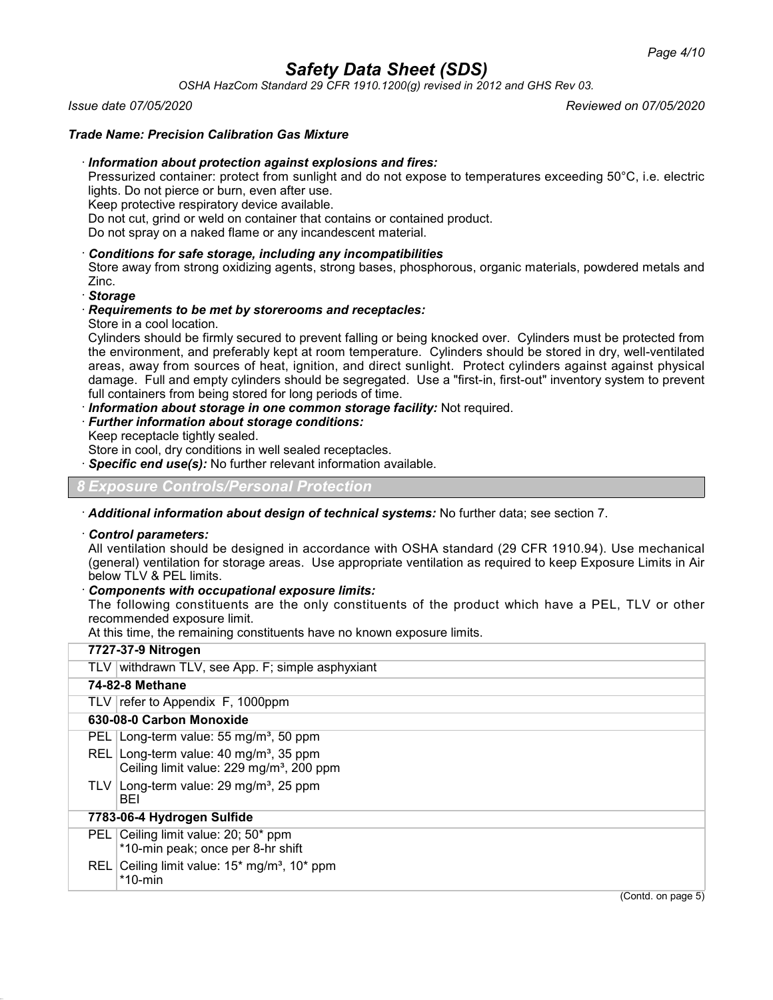*OSHA HazCom Standard 29 CFR 1910.1200(g) revised in 2012 and GHS Rev 03.*

*Issue date 07/05/2020 Reviewed on 07/05/2020*

## *Trade Name: Precision Calibration Gas Mixture*

### · *Information about protection against explosions and fires:*

Pressurized container: protect from sunlight and do not expose to temperatures exceeding 50°C, i.e. electric lights. Do not pierce or burn, even after use.

Keep protective respiratory device available.

Do not cut, grind or weld on container that contains or contained product.

Do not spray on a naked flame or any incandescent material.

### · *Conditions for safe storage, including any incompatibilities*

Store away from strong oxidizing agents, strong bases, phosphorous, organic materials, powdered metals and Zinc.

· *Storage*

## · *Requirements to be met by storerooms and receptacles:*

Store in a cool location.

Cylinders should be firmly secured to prevent falling or being knocked over. Cylinders must be protected from the environment, and preferably kept at room temperature. Cylinders should be stored in dry, well-ventilated areas, away from sources of heat, ignition, and direct sunlight. Protect cylinders against against physical damage. Full and empty cylinders should be segregated. Use a "first-in, first-out" inventory system to prevent full containers from being stored for long periods of time.

· *Information about storage in one common storage facility:* Not required.

### · *Further information about storage conditions:*

Keep receptacle tightly sealed.

Store in cool, dry conditions in well sealed receptacles.

Specific end use(s): No further relevant information available.

*8 Exposure Controls/Personal Protection*

· *Additional information about design of technical systems:* No further data; see section 7.

### · *Control parameters:*

All ventilation should be designed in accordance with OSHA standard (29 CFR 1910.94). Use mechanical (general) ventilation for storage areas. Use appropriate ventilation as required to keep Exposure Limits in Air below TLV & PEL limits.

## · *Components with occupational exposure limits:*

The following constituents are the only constituents of the product which have a PEL, TLV or other recommended exposure limit.

At this time, the remaining constituents have no known exposure limits.

|            | 7727-37-9 Nitrogen                                                                                     |
|------------|--------------------------------------------------------------------------------------------------------|
|            | TLV withdrawn TLV, see App. F; simple asphyxiant                                                       |
|            | 74-82-8 Methane                                                                                        |
|            | TLV $ $ refer to Appendix F, 1000ppm                                                                   |
|            | 630-08-0 Carbon Monoxide                                                                               |
|            | PEL   Long-term value: 55 mg/m <sup>3</sup> , 50 ppm                                                   |
| REL I      | Long-term value: 40 mg/m <sup>3</sup> , 35 ppm<br>Ceiling limit value: 229 mg/m <sup>3</sup> , 200 ppm |
|            | TLV Long-term value: $29 \text{ mg/m}^3$ , $25 \text{ ppm}$<br>BEI                                     |
|            | 7783-06-4 Hydrogen Sulfide                                                                             |
| <b>PEL</b> | Ceiling limit value: 20; 50* ppm<br>*10-min peak; once per 8-hr shift                                  |
| REL I      | Ceiling limit value: $15*$ mg/m <sup>3</sup> , $10*$ ppm<br>$*$ 10-min                                 |
|            | $(Control \text{ on } \text{name } 5)$                                                                 |

(Contd. on page 5)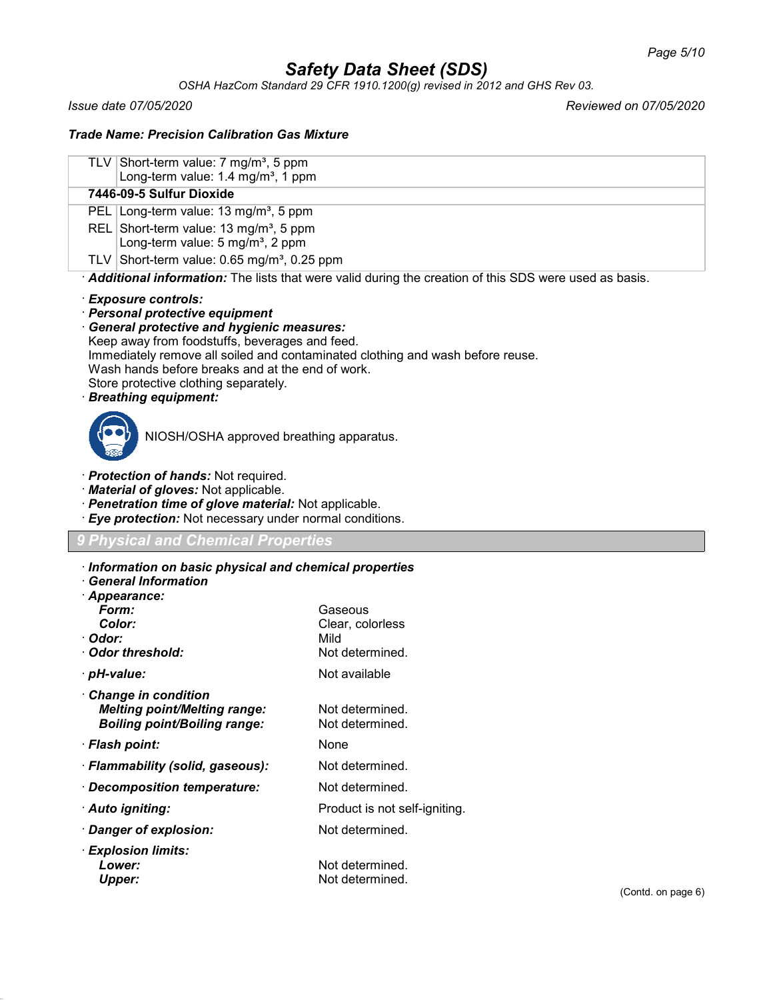*OSHA HazCom Standard 29 CFR 1910.1200(g) revised in 2012 and GHS Rev 03.*

*Issue date 07/05/2020 Reviewed on 07/05/2020*

## *Trade Name: Precision Calibration Gas Mixture*

| TLV Short-term value: 7 mg/m <sup>3</sup> , 5 ppm<br>Long-term value: 1.4 mg/m <sup>3</sup> , 1 ppm   |
|-------------------------------------------------------------------------------------------------------|
| 7446-09-5 Sulfur Dioxide                                                                              |
| PEL   Long-term value: 13 mg/m <sup>3</sup> , 5 ppm                                                   |
| REL Short-term value: 13 mg/m <sup>3</sup> , 5 ppm<br>Long-term value: 5 mg/m <sup>3</sup> , 2 ppm    |
| TLV Short-term value: $0.65$ mg/m <sup>3</sup> , 0.25 ppm                                             |
| Additional information: The lists that were valid during the creation of this SDS were used as basis. |
|                                                                                                       |

## · *Exposure controls:*

· *Personal protective equipment*

· *General protective and hygienic measures:*

Keep away from foodstuffs, beverages and feed.

Immediately remove all soiled and contaminated clothing and wash before reuse.

Wash hands before breaks and at the end of work.

Store protective clothing separately.

# · *Breathing equipment:*



NIOSH/OSHA approved breathing apparatus.

- · *Protection of hands:* Not required.
- · *Material of gloves:* Not applicable.
- · *Penetration time of glove material:* Not applicable.
- · *Eye protection:* Not necessary under normal conditions.

# *9 Physical and Chemical Properties*

- · *Information on basic physical and chemical properties*
- · *General Information*

| · Appearance:                       |                               |
|-------------------------------------|-------------------------------|
| Form:                               | Gaseous                       |
| Color:                              | Clear, colorless              |
| · Odor:                             | Mild                          |
| · Odor threshold:                   | Not determined.               |
| · pH-value:                         | Not available                 |
| <b>Change in condition</b>          |                               |
| <b>Melting point/Melting range:</b> | Not determined.               |
| <b>Boiling point/Boiling range:</b> | Not determined.               |
| · Flash point:                      | None                          |
| · Flammability (solid, gaseous):    | Not determined.               |
| · Decomposition temperature:        | Not determined.               |
| · Auto igniting:                    | Product is not self-igniting. |
| $\cdot$ Danger of explosion:        | Not determined.               |
| $\cdot$ Explosion limits:           |                               |
| Lower:                              | Not determined.               |
| <b>Upper:</b>                       | Not determined.               |
|                                     |                               |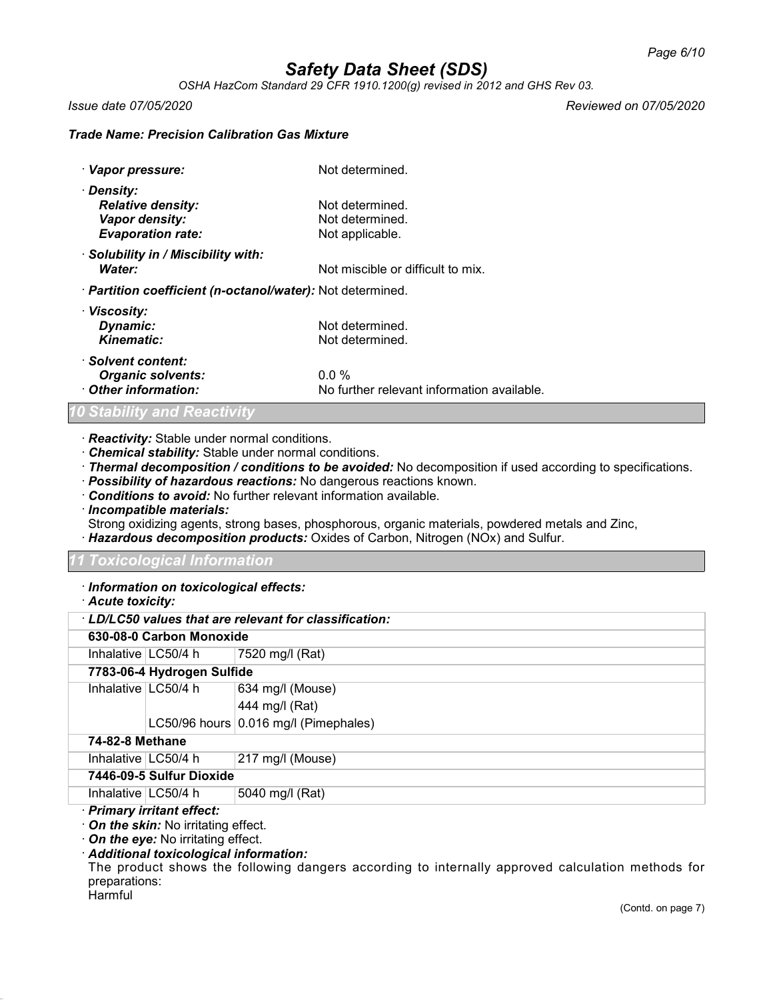*OSHA HazCom Standard 29 CFR 1910.1200(g) revised in 2012 and GHS Rev 03.*

*Issue date 07/05/2020 Reviewed on 07/05/2020*

## *Trade Name: Precision Calibration Gas Mixture*

| · Vapor pressure:                                          | Not determined.                            |
|------------------------------------------------------------|--------------------------------------------|
| · Density:                                                 |                                            |
| <b>Relative density:</b>                                   | Not determined.                            |
| Vapor density:                                             | Not determined.                            |
| <b>Evaporation rate:</b>                                   | Not applicable.                            |
| · Solubility in / Miscibility with:                        |                                            |
| Water:                                                     | Not miscible or difficult to mix.          |
| · Partition coefficient (n-octanol/water): Not determined. |                                            |
| · Viscosity:                                               |                                            |
| Dynamic:                                                   | Not determined.                            |
| Kinematic:                                                 | Not determined.                            |
| · Solvent content:                                         |                                            |
| <b>Organic solvents:</b>                                   | $0.0\%$                                    |
| Other information:                                         | No further relevant information available. |

## *Stability and Reactivity*

- · *Reactivity:* Stable under normal conditions.
- · *Chemical stability:* Stable under normal conditions.
- · *Thermal decomposition / conditions to be avoided:* No decomposition if used according to specifications.
- · *Possibility of hazardous reactions:* No dangerous reactions known.
- · *Conditions to avoid:* No further relevant information available.

· *Incompatible materials:*

Strong oxidizing agents, strong bases, phosphorous, organic materials, powdered metals and Zinc, · *Hazardous decomposition products:* Oxides of Carbon, Nitrogen (NOx) and Sulfur.

## *11 Toxicological Information*

## · *Information on toxicological effects:*

· *Acute toxicity:*

|                        | 630-08-0 Carbon Monoxide   |                                       |
|------------------------|----------------------------|---------------------------------------|
|                        | Inhalative $LC50/4$ h      | 7520 mg/l (Rat)                       |
|                        | 7783-06-4 Hydrogen Sulfide |                                       |
| Inhalative $ LC50/4$ h |                            | 634 mg/l (Mouse)                      |
|                        |                            | 444 mg/l (Rat)                        |
|                        |                            | LC50/96 hours 0.016 mg/l (Pimephales) |
| 74-82-8 Methane        |                            |                                       |
| Inhalative $ LC50/4$ h |                            | 217 mg/l (Mouse)                      |
|                        | 7446-09-5 Sulfur Dioxide   |                                       |
| Inhalative $ LC50/4$ h |                            | 5040 mg/l (Rat)                       |
|                        | .                          |                                       |

# · *Primary irritant effect:*

- · *On the skin:* No irritating effect.
- · *On the eye:* No irritating effect.

# · *Additional toxicological information:*

The product shows the following dangers according to internally approved calculation methods for preparations: **Harmful**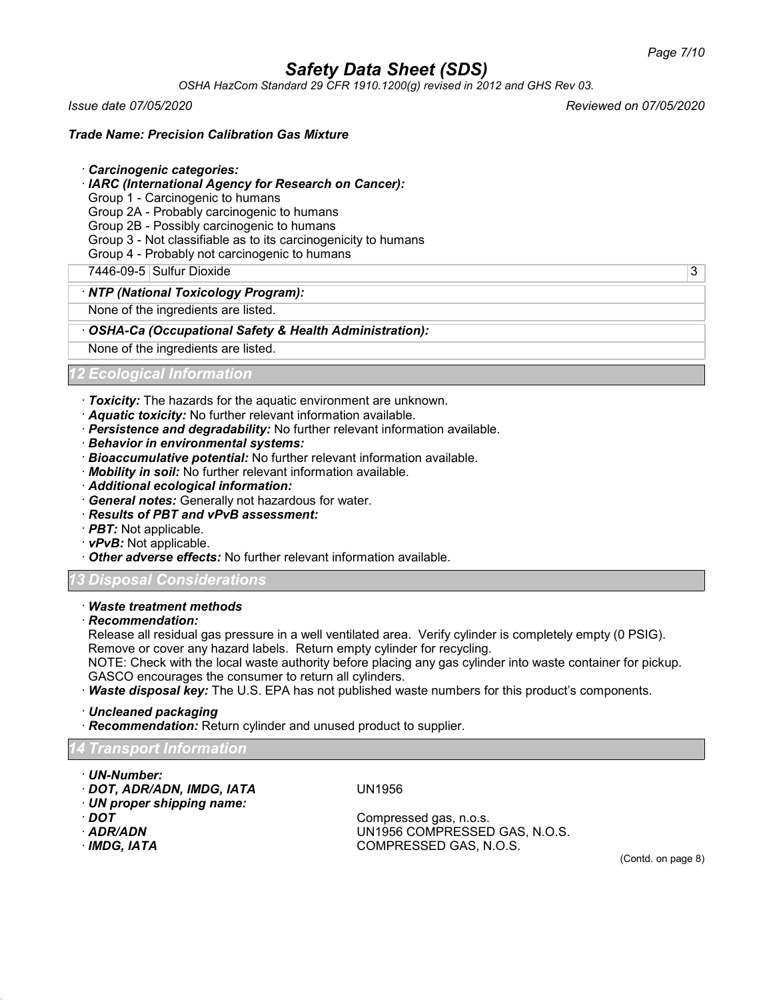*OSHA HazCom Standard 29 CFR 1910.1200(g) revised in 2012 and GHS Rev 03.*

*Issue date 07/05/2020 Reviewed on 07/05/2020*

## *Trade Name: Precision Calibration Gas Mixture*

### · *Carcinogenic categories:*

- · *IARC (International Agency for Research on Cancer):*
- Group 1 Carcinogenic to humans
- Group 2A Probably carcinogenic to humans
- Group 2B Possibly carcinogenic to humans
- Group 3 Not classifiable as to its carcinogenicity to humans
- Group 4 Probably not carcinogenic to humans
- 7446-09-5 Sulfur Dioxide 3

### · *NTP (National Toxicology Program):*

None of the ingredients are listed.

### · *OSHA-Ca (Occupational Safety & Health Administration):*

None of the ingredients are listed.

*12 Ecological Information*

- · *Toxicity:* The hazards for the aquatic environment are unknown.
- · *Aquatic toxicity:* No further relevant information available.
- · *Persistence and degradability:* No further relevant information available.
- · *Behavior in environmental systems:*
- · *Bioaccumulative potential:* No further relevant information available.
- · *Mobility in soil:* No further relevant information available.
- · *Additional ecological information:*
- · *General notes:* Generally not hazardous for water.
- · *Results of PBT and vPvB assessment:*
- · *PBT:* Not applicable.
- · *vPvB:* Not applicable.
- · *Other adverse effects:* No further relevant information available.

## *13 Disposal Considerations*

- · *Waste treatment methods*
- · *Recommendation:*

Release all residual gas pressure in a well ventilated area. Verify cylinder is completely empty (0 PSIG). Remove or cover any hazard labels. Return empty cylinder for recycling.

NOTE: Check with the local waste authority before placing any gas cylinder into waste container for pickup. GASCO encourages the consumer to return all cylinders.

· *Waste disposal key:* The U.S. EPA has not published waste numbers for this product's components.

· *Uncleaned packaging*

· *Recommendation:* Return cylinder and unused product to supplier.

## *14 Transport Information*

- · *UN-Number:*
- · *DOT, ADR/ADN, IMDG, IATA* UN1956
- · *UN proper shipping name:*
- 
- 
- 

· *DOT* Compressed gas, n.o.s. · *ADR/ADN* UN1956 COMPRESSED GAS, N.O.S. · *IMDG, IATA* COMPRESSED GAS, N.O.S.

(Contd. on page 8)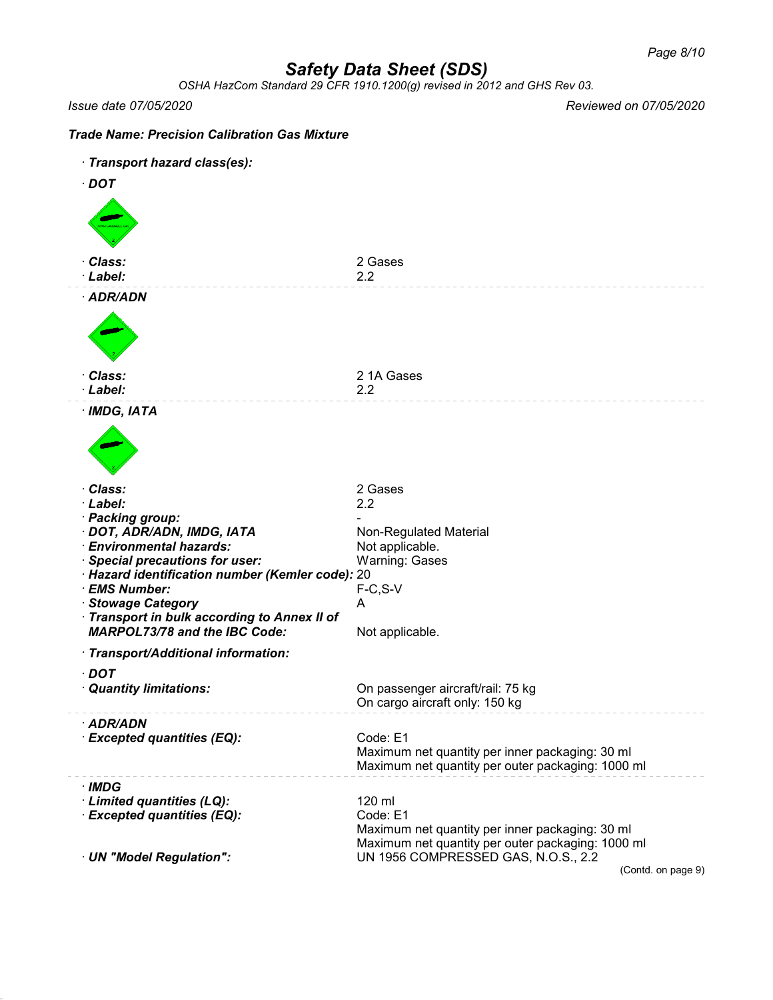*OSHA HazCom Standard 29 CFR 1910.1200(g) revised in 2012 and GHS Rev 03.*

*Issue date 07/05/2020 Reviewed on 07/05/2020*

## *Trade Name: Precision Calibration Gas Mixture*

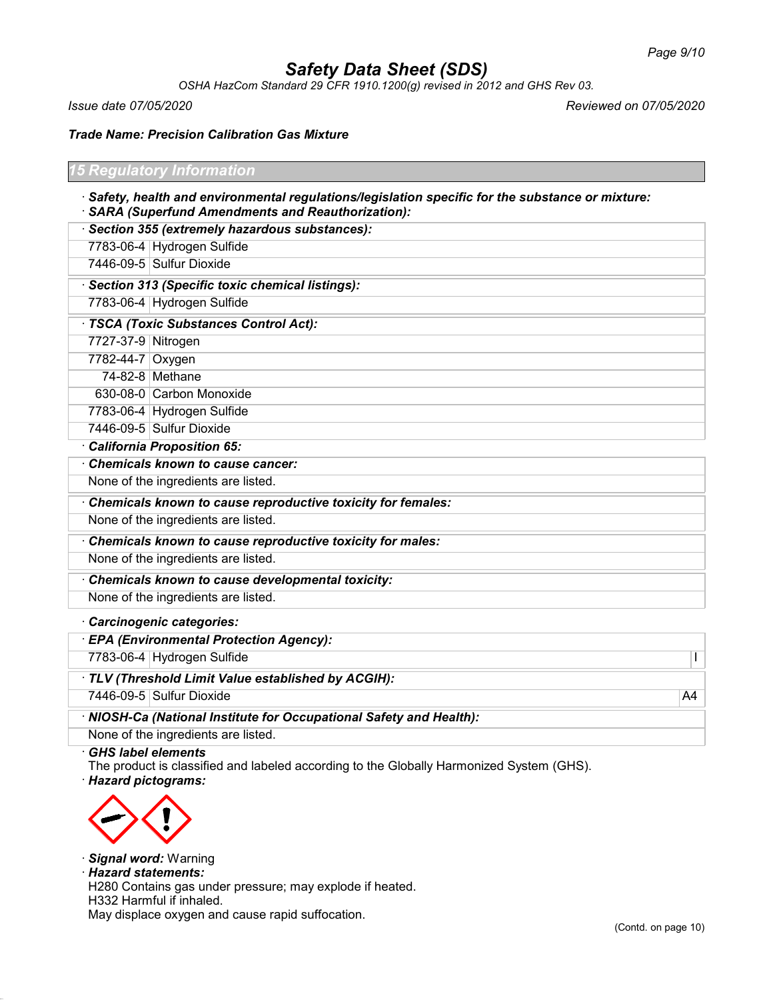*OSHA HazCom Standard 29 CFR 1910.1200(g) revised in 2012 and GHS Rev 03.*

*Issue date 07/05/2020 Reviewed on 07/05/2020*

*Trade Name: Precision Calibration Gas Mixture*

| <b>15 Regulatory Information</b>                                                                                                                        |
|---------------------------------------------------------------------------------------------------------------------------------------------------------|
| · Safety, health and environmental regulations/legislation specific for the substance or mixture:<br>· SARA (Superfund Amendments and Reauthorization): |
| Section 355 (extremely hazardous substances):                                                                                                           |
| 7783-06-4 Hydrogen Sulfide                                                                                                                              |

7446-09-5 Sulfur Dioxide

· *Section 313 (Specific toxic chemical listings):*

7783-06-4 Hydrogen Sulfide

· *TSCA (Toxic Substances Control Act):*

- 7727-37-9 Nitrogen
- 7782-44-7 Oxygen 74-82-8 Methane

630-08-0 Carbon Monoxide

7783-06-4 Hydrogen Sulfide

7446-09-5 Sulfur Dioxide

· *California Proposition 65:*

· *Chemicals known to cause cancer:*

None of the ingredients are listed.

· *Chemicals known to cause reproductive toxicity for females:*

None of the ingredients are listed.

· *Chemicals known to cause reproductive toxicity for males:*

None of the ingredients are listed.

· *Chemicals known to cause developmental toxicity:*

None of the ingredients are listed.

· *Carcinogenic categories:*

· *EPA (Environmental Protection Agency):*

7783-06-4 Hydrogen Sulfide I

· *TLV (Threshold Limit Value established by ACGIH):*

7446-09-5 Sulfur Dioxide A4

· *NIOSH-Ca (National Institute for Occupational Safety and Health):* None of the ingredients are listed.

· *GHS label elements*

The product is classified and labeled according to the Globally Harmonized System (GHS).

· *Hazard pictograms:*



· *Signal word:* Warning

· *Hazard statements:*

H280 Contains gas under pressure; may explode if heated.

H332 Harmful if inhaled.

May displace oxygen and cause rapid suffocation.